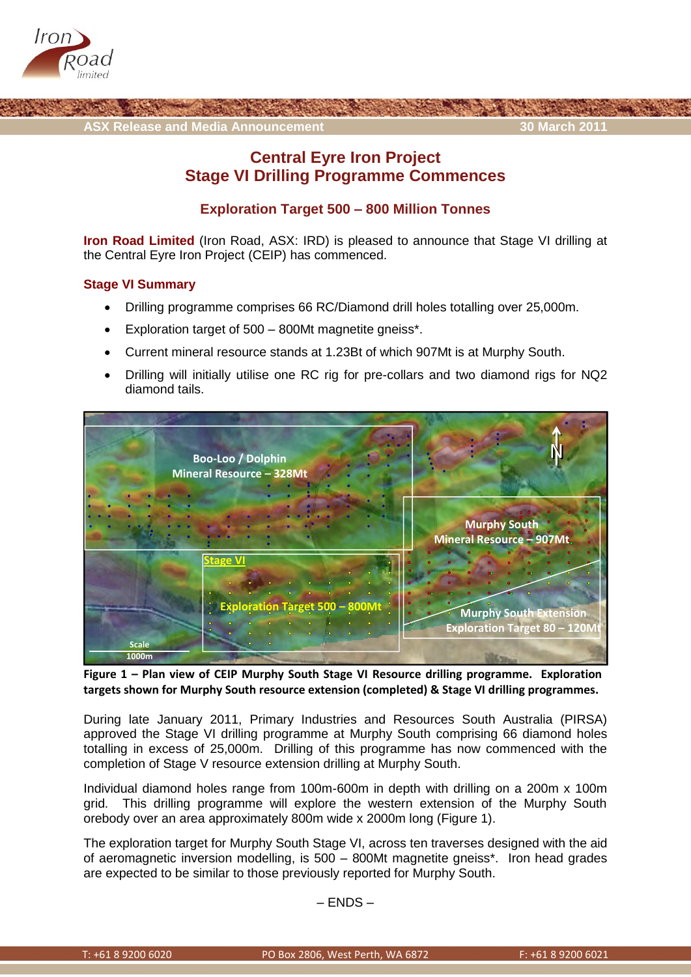



# **Central Eyre Iron Project Stage VI Drilling Programme Commences**

## **Exploration Target 500 – 800 Million Tonnes**

**Iron Road Limited** (Iron Road, ASX: IRD) is pleased to announce that Stage VI drilling at the Central Eyre Iron Project (CEIP) has commenced.

### **Stage VI Summary**

- Drilling programme comprises 66 RC/Diamond drill holes totalling over 25,000m.
- Exploration target of 500 800Mt magnetite gneiss\*.
- Current mineral resource stands at 1.23Bt of which 907Mt is at Murphy South.
- Drilling will initially utilise one RC rig for pre-collars and two diamond rigs for NQ2 diamond tails.



**Figure 1 – Plan view of CEIP Murphy South Stage VI Resource drilling programme. Exploration targets shown for Murphy South resource extension (completed) & Stage VI drilling programmes.** 

During late January 2011, Primary Industries and Resources South Australia (PIRSA) approved the Stage VI drilling programme at Murphy South comprising 66 diamond holes totalling in excess of 25,000m. Drilling of this programme has now commenced with the completion of Stage V resource extension drilling at Murphy South.

Individual diamond holes range from 100m-600m in depth with drilling on a 200m x 100m grid. This drilling programme will explore the western extension of the Murphy South orebody over an area approximately 800m wide x 2000m long (Figure 1).

The exploration target for Murphy South Stage VI, across ten traverses designed with the aid of aeromagnetic inversion modelling, is 500 – 800Mt magnetite gneiss\*. Iron head grades are expected to be similar to those previously reported for Murphy South.

 $-$  FNDS  $-$